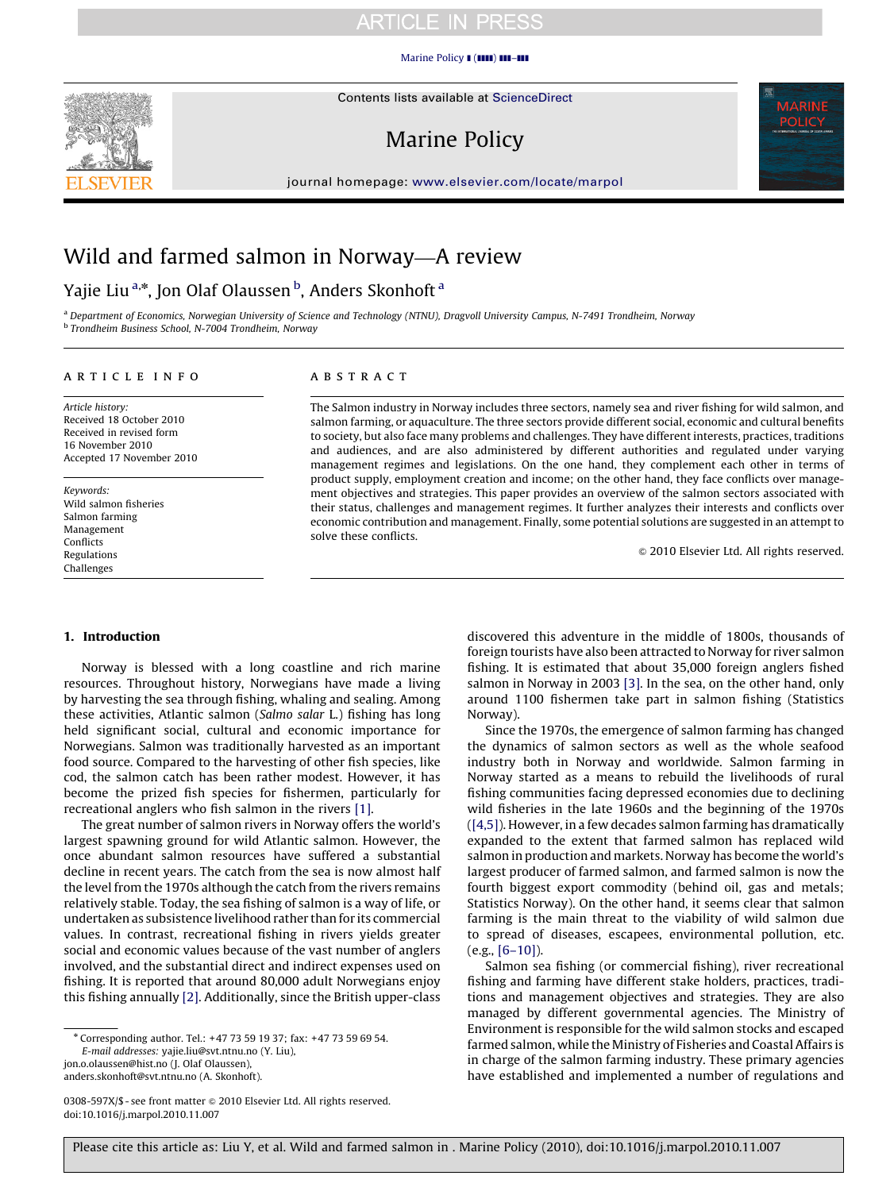## **ARTICLE IN PRESS**

#### [Marine Policy](dx.doi.org/10.1016/j.marpol.2010.11.007)  $\blacksquare$  ( $\blacksquare\blacksquare$ )  $\blacksquare\blacksquare-\blacksquare\blacksquare$



Contents lists available at ScienceDirect

# Marine Policy



journal homepage: <www.elsevier.com/locate/marpol>

# Wild and farmed salmon in Norway—A review

## Yajie Liu <sup>a,</sup>\*, Jon Olaf Olaussen <sup>b</sup>, Anders Skonhoft <sup>a</sup>

a Department of Economics, Norwegian University of Science and Technology (NTNU), Dragvoll University Campus, N-7491 Trondheim, Norway <sup>b</sup> Trondheim Business School, N-7004 Trondheim, Norway

#### article info

Article history: Received 18 October 2010 Received in revised form 16 November 2010 Accepted 17 November 2010

Keywords: Wild salmon fisheries Salmon farming Management Conflicts Regulations Challenges

### **ABSTRACT**

The Salmon industry in Norway includes three sectors, namely sea and river fishing for wild salmon, and salmon farming, or aquaculture. The three sectors provide different social, economic and cultural benefits to society, but also face many problems and challenges. They have different interests, practices, traditions and audiences, and are also administered by different authorities and regulated under varying management regimes and legislations. On the one hand, they complement each other in terms of product supply, employment creation and income; on the other hand, they face conflicts over management objectives and strategies. This paper provides an overview of the salmon sectors associated with their status, challenges and management regimes. It further analyzes their interests and conflicts over economic contribution and management. Finally, some potential solutions are suggested in an attempt to solve these conflicts.

 $\odot$  2010 Elsevier Ltd. All rights reserved.

### 1. Introduction

Norway is blessed with a long coastline and rich marine resources. Throughout history, Norwegians have made a living by harvesting the sea through fishing, whaling and sealing. Among these activities, Atlantic salmon (Salmo salar L.) fishing has long held significant social, cultural and economic importance for Norwegians. Salmon was traditionally harvested as an important food source. Compared to the harvesting of other fish species, like cod, the salmon catch has been rather modest. However, it has become the prized fish species for fishermen, particularly for recreational anglers who fish salmon in the rivers [\[1\]](#page-5-0).

The great number of salmon rivers in Norway offers the world's largest spawning ground for wild Atlantic salmon. However, the once abundant salmon resources have suffered a substantial decline in recent years. The catch from the sea is now almost half the level from the 1970s although the catch from the rivers remains relatively stable. Today, the sea fishing of salmon is a way of life, or undertaken as subsistence livelihood rather than for its commercial values. In contrast, recreational fishing in rivers yields greater social and economic values because of the vast number of anglers involved, and the substantial direct and indirect expenses used on fishing. It is reported that around 80,000 adult Norwegians enjoy this fishing annually [\[2\]](#page-5-0). Additionally, since the British upper-class

E-mail addresses: [yajie.liu@svt.ntnu.no \(Y. Liu\),](mailto:yajie.liu@svt.ntnu.no) [jon.o.olaussen@hist.no \(J. Olaf Olaussen\)](mailto:jon.o.olaussen@hist.no), [anders.skonhoft@svt.ntnu.no \(A. Skonhoft\)](mailto:anders.skonhoft@svt.ntnu.no).

0308-597X/\$ - see front matter  $\odot$  2010 Elsevier Ltd. All rights reserved.

doi:[10.1016/j.marpol.2010.11.007](dx.doi.org/10.1016/j.marpol.2010.11.007)

discovered this adventure in the middle of 1800s, thousands of foreign tourists have also been attracted to Norway for river salmon fishing. It is estimated that about 35,000 foreign anglers fished salmon in Norway in 2003 [\[3\].](#page-5-0) In the sea, on the other hand, only around 1100 fishermen take part in salmon fishing (Statistics Norway).

Since the 1970s, the emergence of salmon farming has changed the dynamics of salmon sectors as well as the whole seafood industry both in Norway and worldwide. Salmon farming in Norway started as a means to rebuild the livelihoods of rural fishing communities facing depressed economies due to declining wild fisheries in the late 1960s and the beginning of the 1970s ([\[4,5\]](#page-5-0)). However, in a few decades salmon farming has dramatically expanded to the extent that farmed salmon has replaced wild salmon in production and markets. Norway has become the world's largest producer of farmed salmon, and farmed salmon is now the fourth biggest export commodity (behind oil, gas and metals; Statistics Norway). On the other hand, it seems clear that salmon farming is the main threat to the viability of wild salmon due to spread of diseases, escapees, environmental pollution, etc. (e.g., [\[6–10\]](#page-5-0)).

Salmon sea fishing (or commercial fishing), river recreational fishing and farming have different stake holders, practices, traditions and management objectives and strategies. They are also managed by different governmental agencies. The Ministry of Environment is responsible for the wild salmon stocks and escaped farmed salmon, while the Ministry of Fisheries and Coastal Affairs is in charge of the salmon farming industry. These primary agencies have established and implemented a number of regulations and

<sup>n</sup> Corresponding author. Tel.: +47 73 59 19 37; fax: +47 73 59 69 54.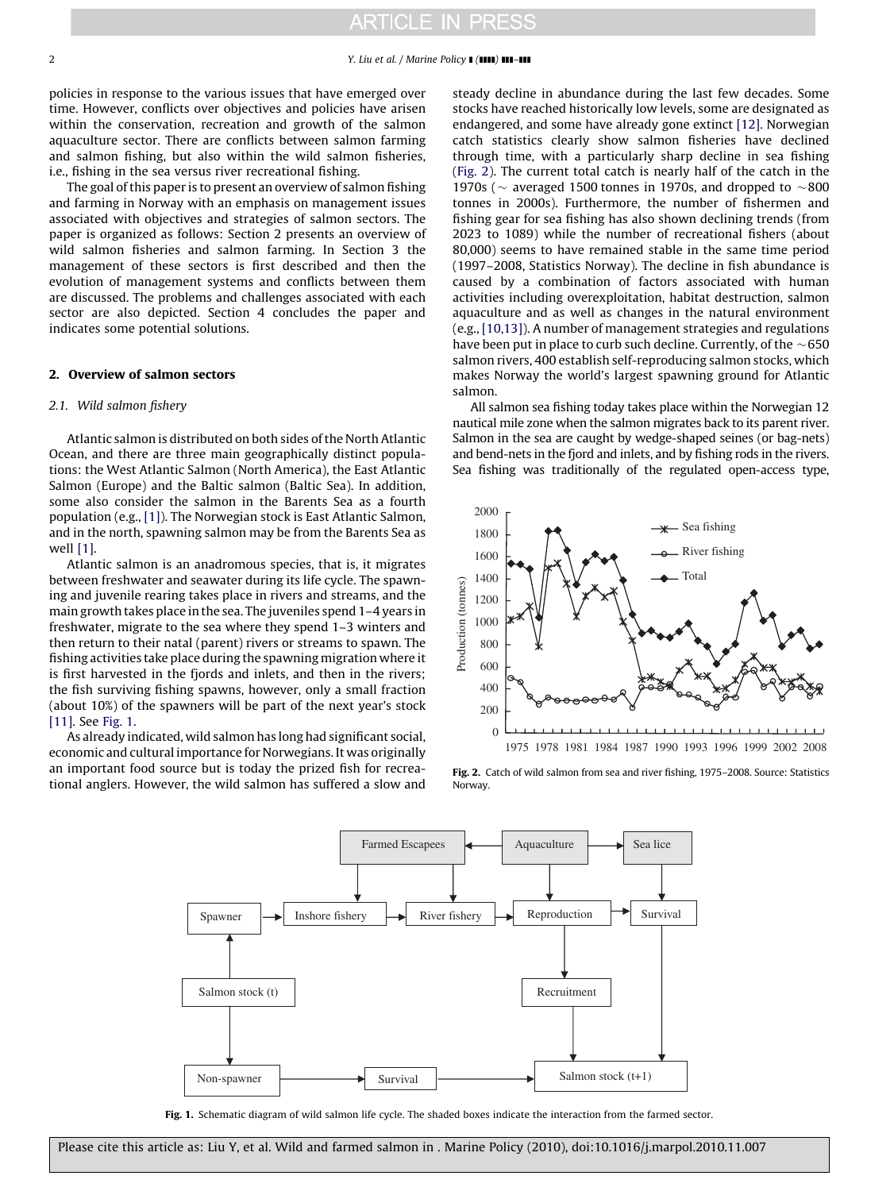<span id="page-1-0"></span>policies in response to the various issues that have emerged over time. However, conflicts over objectives and policies have arisen within the conservation, recreation and growth of the salmon aquaculture sector. There are conflicts between salmon farming and salmon fishing, but also within the wild salmon fisheries, i.e., fishing in the sea versus river recreational fishing.

The goal of this paper is to present an overview of salmon fishing and farming in Norway with an emphasis on management issues associated with objectives and strategies of salmon sectors. The paper is organized as follows: Section 2 presents an overview of wild salmon fisheries and salmon farming. In Section 3 the management of these sectors is first described and then the evolution of management systems and conflicts between them are discussed. The problems and challenges associated with each sector are also depicted. Section 4 concludes the paper and indicates some potential solutions.

### 2. Overview of salmon sectors

#### 2.1. Wild salmon fishery

Atlantic salmon is distributed on both sides of the North Atlantic Ocean, and there are three main geographically distinct populations: the West Atlantic Salmon (North America), the East Atlantic Salmon (Europe) and the Baltic salmon (Baltic Sea). In addition, some also consider the salmon in the Barents Sea as a fourth population (e.g., [\[1\]\)](#page-5-0). The Norwegian stock is East Atlantic Salmon, and in the north, spawning salmon may be from the Barents Sea as well [\[1\]](#page-5-0).

Atlantic salmon is an anadromous species, that is, it migrates between freshwater and seawater during its life cycle. The spawning and juvenile rearing takes place in rivers and streams, and the main growth takes place in the sea. The juveniles spend 1–4 years in freshwater, migrate to the sea where they spend 1–3 winters and then return to their natal (parent) rivers or streams to spawn. The fishing activities take place during the spawning migration where it is first harvested in the fjords and inlets, and then in the rivers; the fish surviving fishing spawns, however, only a small fraction (about 10%) of the spawners will be part of the next year's stock [\[11\]](#page-5-0). See Fig. 1.

As already indicated, wild salmon has long had significant social, economic and cultural importance for Norwegians. It was originally an important food source but is today the prized fish for recreational anglers. However, the wild salmon has suffered a slow and steady decline in abundance during the last few decades. Some stocks have reached historically low levels, some are designated as endangered, and some have already gone extinct [\[12\].](#page-5-0) Norwegian catch statistics clearly show salmon fisheries have declined through time, with a particularly sharp decline in sea fishing (Fig. 2). The current total catch is nearly half of the catch in the 1970s ( $\sim$  averaged 1500 tonnes in 1970s, and dropped to  $\sim$ 800 tonnes in 2000s). Furthermore, the number of fishermen and fishing gear for sea fishing has also shown declining trends (from 2023 to 1089) while the number of recreational fishers (about 80,000) seems to have remained stable in the same time period (1997–2008, Statistics Norway). The decline in fish abundance is caused by a combination of factors associated with human activities including overexploitation, habitat destruction, salmon aquaculture and as well as changes in the natural environment (e.g., [\[10,13\]](#page-5-0)). A number of management strategies and regulations have been put in place to curb such decline. Currently, of the  $\sim$  650  $\,$ salmon rivers, 400 establish self-reproducing salmon stocks, which makes Norway the world's largest spawning ground for Atlantic salmon.

All salmon sea fishing today takes place within the Norwegian 12 nautical mile zone when the salmon migrates back to its parent river. Salmon in the sea are caught by wedge-shaped seines (or bag-nets) and bend-nets in the fjord and inlets, and by fishing rods in the rivers. Sea fishing was traditionally of the regulated open-access type,



Fig. 2. Catch of wild salmon from sea and river fishing, 1975–2008. Source: Statistics Norway.



Fig. 1. Schematic diagram of wild salmon life cycle. The shaded boxes indicate the interaction from the farmed sector.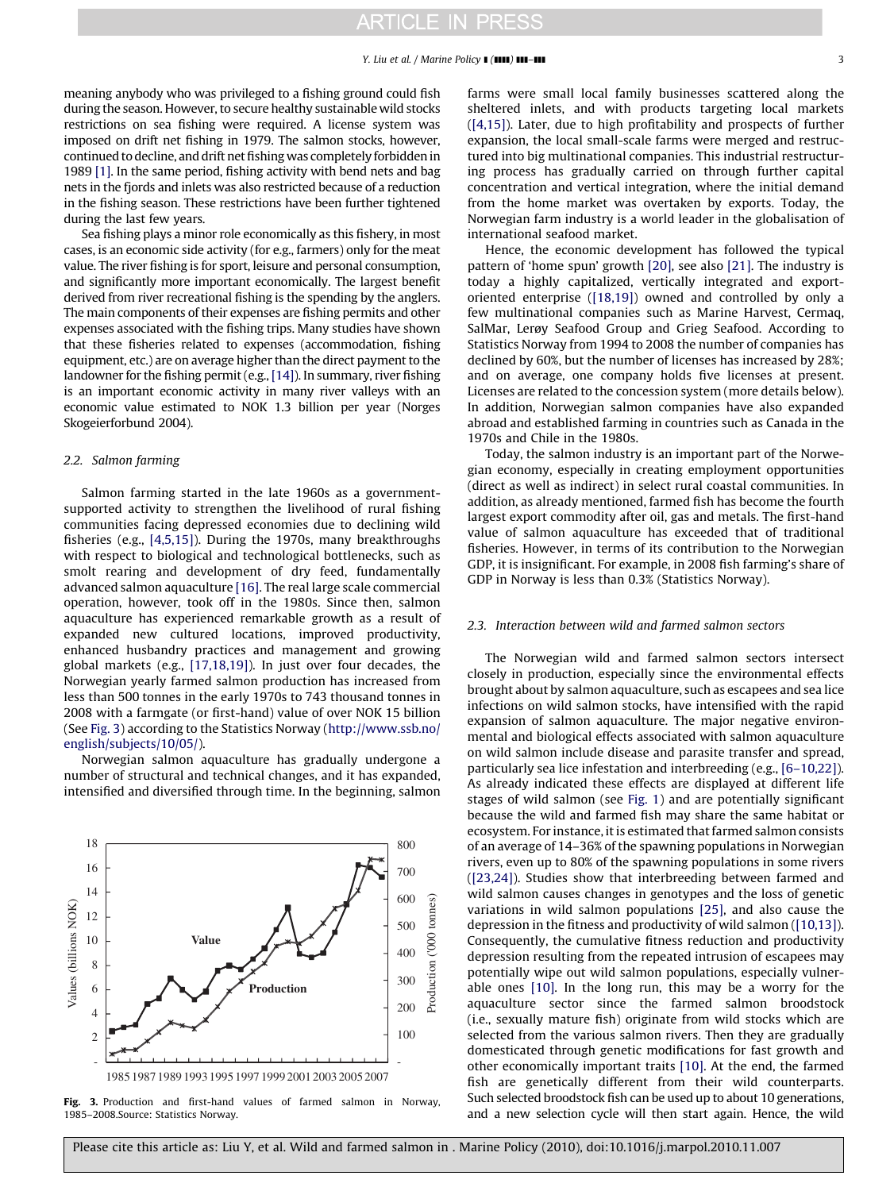meaning anybody who was privileged to a fishing ground could fish during the season. However, to secure healthy sustainable wild stocks restrictions on sea fishing were required. A license system was imposed on drift net fishing in 1979. The salmon stocks, however, continued to decline, and drift net fishing was completely forbidden in 1989 [\[1\].](#page-5-0) In the same period, fishing activity with bend nets and bag nets in the fjords and inlets was also restricted because of a reduction in the fishing season. These restrictions have been further tightened during the last few years.

Sea fishing plays a minor role economically as this fishery, in most cases, is an economic side activity (for e.g., farmers) only for the meat value. The river fishing is for sport, leisure and personal consumption, and significantly more important economically. The largest benefit derived from river recreational fishing is the spending by the anglers. The main components of their expenses are fishing permits and other expenses associated with the fishing trips. Many studies have shown that these fisheries related to expenses (accommodation, fishing equipment, etc.) are on average higher than the direct payment to the landowner for the fishing permit (e.g.,[\[14\]\)](#page-5-0). In summary, river fishing is an important economic activity in many river valleys with an economic value estimated to NOK 1.3 billion per year (Norges Skogeierforbund 2004).

#### 2.2. Salmon farming

Salmon farming started in the late 1960s as a governmentsupported activity to strengthen the livelihood of rural fishing communities facing depressed economies due to declining wild fisheries (e.g., [\[4,5,15\]](#page-5-0)). During the 1970s, many breakthroughs with respect to biological and technological bottlenecks, such as smolt rearing and development of dry feed, fundamentally advanced salmon aquaculture [\[16\].](#page-5-0) The real large scale commercial operation, however, took off in the 1980s. Since then, salmon aquaculture has experienced remarkable growth as a result of expanded new cultured locations, improved productivity, enhanced husbandry practices and management and growing global markets (e.g., [\[17,18,19\]](#page-5-0)). In just over four decades, the Norwegian yearly farmed salmon production has increased from less than 500 tonnes in the early 1970s to 743 thousand tonnes in 2008 with a farmgate (or first-hand) value of over NOK 15 billion (See Fig. 3) according to the Statistics Norway ([http://www.ssb.no/](http://www.ssb.no/english/subjects/10/05/) [english/subjects/10/05/](http://www.ssb.no/english/subjects/10/05/)).

Norwegian salmon aquaculture has gradually undergone a number of structural and technical changes, and it has expanded, intensified and diversified through time. In the beginning, salmon



Fig. 3. Production and first-hand values of farmed salmon in Norway, 1985–2008.Source: Statistics Norway.

farms were small local family businesses scattered along the sheltered inlets, and with products targeting local markets ([\[4,15\]](#page-5-0)). Later, due to high profitability and prospects of further expansion, the local small-scale farms were merged and restructured into big multinational companies. This industrial restructuring process has gradually carried on through further capital concentration and vertical integration, where the initial demand from the home market was overtaken by exports. Today, the Norwegian farm industry is a world leader in the globalisation of international seafood market.

Hence, the economic development has followed the typical pattern of 'home spun' growth [\[20\]](#page-5-0), see also [\[21\]](#page-5-0). The industry is today a highly capitalized, vertically integrated and exportoriented enterprise ([\[18,19\]](#page-5-0)) owned and controlled by only a few multinational companies such as Marine Harvest, Cermaq, SalMar, Lerøy Seafood Group and Grieg Seafood. According to Statistics Norway from 1994 to 2008 the number of companies has declined by 60%, but the number of licenses has increased by 28%; and on average, one company holds five licenses at present. Licenses are related to the concession system (more details below). In addition, Norwegian salmon companies have also expanded abroad and established farming in countries such as Canada in the 1970s and Chile in the 1980s.

Today, the salmon industry is an important part of the Norwegian economy, especially in creating employment opportunities (direct as well as indirect) in select rural coastal communities. In addition, as already mentioned, farmed fish has become the fourth largest export commodity after oil, gas and metals. The first-hand value of salmon aquaculture has exceeded that of traditional fisheries. However, in terms of its contribution to the Norwegian GDP, it is insignificant. For example, in 2008 fish farming's share of GDP in Norway is less than 0.3% (Statistics Norway).

#### 2.3. Interaction between wild and farmed salmon sectors

The Norwegian wild and farmed salmon sectors intersect closely in production, especially since the environmental effects brought about by salmon aquaculture, such as escapees and sea lice infections on wild salmon stocks, have intensified with the rapid expansion of salmon aquaculture. The major negative environmental and biological effects associated with salmon aquaculture on wild salmon include disease and parasite transfer and spread, particularly sea lice infestation and interbreeding (e.g., [\[6–10,22\]\)](#page-5-0). As already indicated these effects are displayed at different life stages of wild salmon (see [Fig. 1\)](#page-1-0) and are potentially significant because the wild and farmed fish may share the same habitat or ecosystem. For instance, it is estimated that farmed salmon consists of an average of 14–36% of the spawning populations in Norwegian rivers, even up to 80% of the spawning populations in some rivers ([\[23,24\]\)](#page-5-0). Studies show that interbreeding between farmed and wild salmon causes changes in genotypes and the loss of genetic variations in wild salmon populations [\[25\]](#page-5-0), and also cause the depression in the fitness and productivity of wild salmon [\(\[10,13\]\)](#page-5-0). Consequently, the cumulative fitness reduction and productivity depression resulting from the repeated intrusion of escapees may potentially wipe out wild salmon populations, especially vulnerable ones [\[10\].](#page-5-0) In the long run, this may be a worry for the aquaculture sector since the farmed salmon broodstock (i.e., sexually mature fish) originate from wild stocks which are selected from the various salmon rivers. Then they are gradually domesticated through genetic modifications for fast growth and other economically important traits [\[10\].](#page-5-0) At the end, the farmed fish are genetically different from their wild counterparts. Such selected broodstock fish can be used up to about 10 generations, and a new selection cycle will then start again. Hence, the wild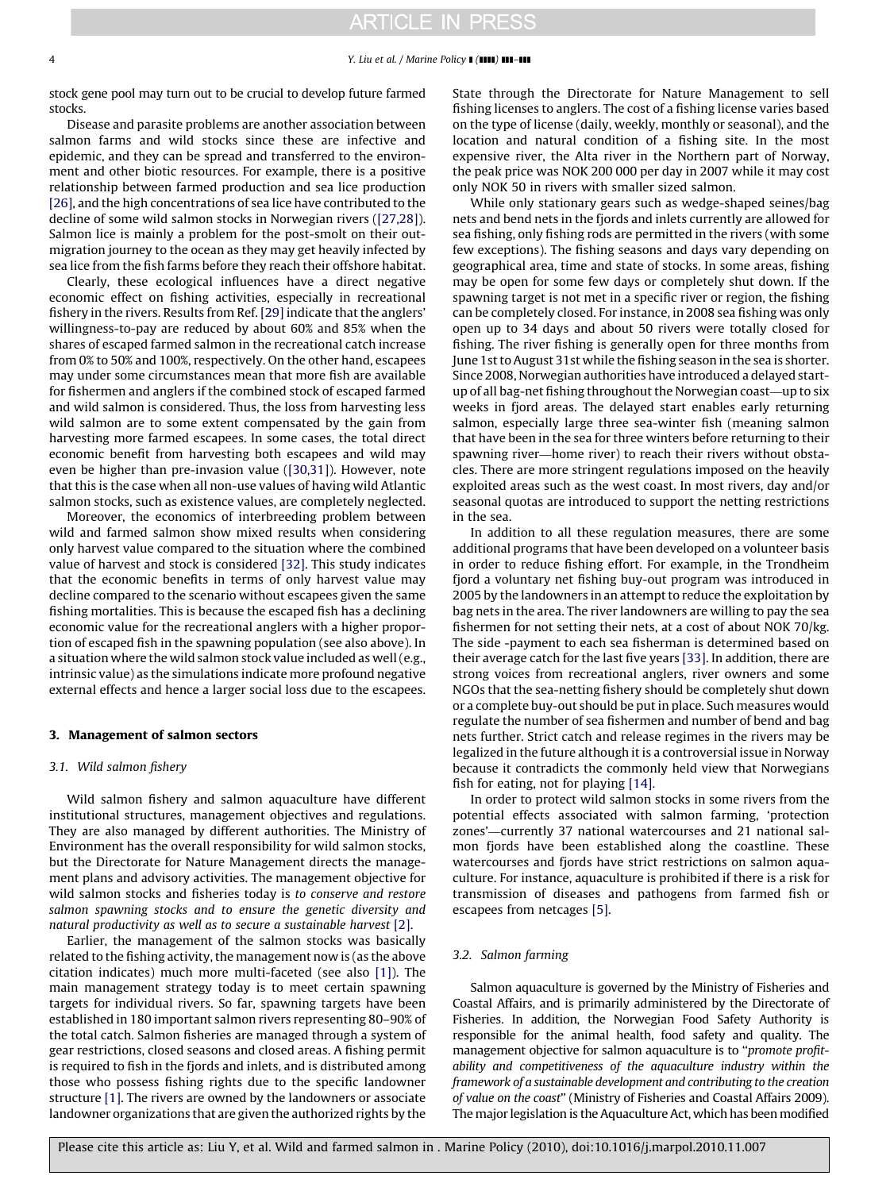stock gene pool may turn out to be crucial to develop future farmed stocks.

Disease and parasite problems are another association between salmon farms and wild stocks since these are infective and epidemic, and they can be spread and transferred to the environment and other biotic resources. For example, there is a positive relationship between farmed production and sea lice production [\[26\]](#page-5-0), and the high concentrations of sea lice have contributed to the decline of some wild salmon stocks in Norwegian rivers ([\[27,28\]\)](#page-5-0). Salmon lice is mainly a problem for the post-smolt on their outmigration journey to the ocean as they may get heavily infected by sea lice from the fish farms before they reach their offshore habitat.

Clearly, these ecological influences have a direct negative economic effect on fishing activities, especially in recreational fishery in the rivers. Results from Ref. [\[29\]](#page-5-0) indicate that the anglers' willingness-to-pay are reduced by about 60% and 85% when the shares of escaped farmed salmon in the recreational catch increase from 0% to 50% and 100%, respectively. On the other hand, escapees may under some circumstances mean that more fish are available for fishermen and anglers if the combined stock of escaped farmed and wild salmon is considered. Thus, the loss from harvesting less wild salmon are to some extent compensated by the gain from harvesting more farmed escapees. In some cases, the total direct economic benefit from harvesting both escapees and wild may even be higher than pre-invasion value [\(\[30,31\]](#page-5-0)). However, note that this is the case when all non-use values of having wild Atlantic salmon stocks, such as existence values, are completely neglected.

Moreover, the economics of interbreeding problem between wild and farmed salmon show mixed results when considering only harvest value compared to the situation where the combined value of harvest and stock is considered [\[32\]](#page-5-0). This study indicates that the economic benefits in terms of only harvest value may decline compared to the scenario without escapees given the same fishing mortalities. This is because the escaped fish has a declining economic value for the recreational anglers with a higher proportion of escaped fish in the spawning population (see also above). In a situation where the wild salmon stock value included as well (e.g., intrinsic value) as the simulations indicate more profound negative external effects and hence a larger social loss due to the escapees.

#### 3. Management of salmon sectors

#### 3.1. Wild salmon fishery

Wild salmon fishery and salmon aquaculture have different institutional structures, management objectives and regulations. They are also managed by different authorities. The Ministry of Environment has the overall responsibility for wild salmon stocks, but the Directorate for Nature Management directs the management plans and advisory activities. The management objective for wild salmon stocks and fisheries today is to conserve and restore salmon spawning stocks and to ensure the genetic diversity and natural productivity as well as to secure a sustainable harvest [\[2\]](#page-5-0).

Earlier, the management of the salmon stocks was basically related to the fishing activity, the management now is (as the above citation indicates) much more multi-faceted (see also [\[1\]\)](#page-5-0). The main management strategy today is to meet certain spawning targets for individual rivers. So far, spawning targets have been established in 180 important salmon rivers representing 80–90% of the total catch. Salmon fisheries are managed through a system of gear restrictions, closed seasons and closed areas. A fishing permit is required to fish in the fjords and inlets, and is distributed among those who possess fishing rights due to the specific landowner structure [\[1\].](#page-5-0) The rivers are owned by the landowners or associate landowner organizations that are given the authorized rights by the State through the Directorate for Nature Management to sell fishing licenses to anglers. The cost of a fishing license varies based on the type of license (daily, weekly, monthly or seasonal), and the location and natural condition of a fishing site. In the most expensive river, the Alta river in the Northern part of Norway, the peak price was NOK 200 000 per day in 2007 while it may cost only NOK 50 in rivers with smaller sized salmon.

While only stationary gears such as wedge-shaped seines/bag nets and bend nets in the fjords and inlets currently are allowed for sea fishing, only fishing rods are permitted in the rivers (with some few exceptions). The fishing seasons and days vary depending on geographical area, time and state of stocks. In some areas, fishing may be open for some few days or completely shut down. If the spawning target is not met in a specific river or region, the fishing can be completely closed. For instance, in 2008 sea fishing was only open up to 34 days and about 50 rivers were totally closed for fishing. The river fishing is generally open for three months from June 1st to August 31st while the fishing season in the sea is shorter. Since 2008, Norwegian authorities have introduced a delayed startup of all bag-net fishing throughout the Norwegian coast—up to six weeks in fjord areas. The delayed start enables early returning salmon, especially large three sea-winter fish (meaning salmon that have been in the sea for three winters before returning to their spawning river—home river) to reach their rivers without obstacles. There are more stringent regulations imposed on the heavily exploited areas such as the west coast. In most rivers, day and/or seasonal quotas are introduced to support the netting restrictions in the sea.

In addition to all these regulation measures, there are some additional programs that have been developed on a volunteer basis in order to reduce fishing effort. For example, in the Trondheim fjord a voluntary net fishing buy-out program was introduced in 2005 by the landowners in an attempt to reduce the exploitation by bag nets in the area. The river landowners are willing to pay the sea fishermen for not setting their nets, at a cost of about NOK 70/kg. The side -payment to each sea fisherman is determined based on their average catch for the last five years [\[33\]](#page-5-0). In addition, there are strong voices from recreational anglers, river owners and some NGOs that the sea-netting fishery should be completely shut down or a complete buy-out should be put in place. Such measures would regulate the number of sea fishermen and number of bend and bag nets further. Strict catch and release regimes in the rivers may be legalized in the future although it is a controversial issue in Norway because it contradicts the commonly held view that Norwegians fish for eating, not for playing [\[14\].](#page-5-0)

In order to protect wild salmon stocks in some rivers from the potential effects associated with salmon farming, 'protection zones'—currently 37 national watercourses and 21 national salmon fjords have been established along the coastline. These watercourses and fjords have strict restrictions on salmon aquaculture. For instance, aquaculture is prohibited if there is a risk for transmission of diseases and pathogens from farmed fish or escapees from netcages [\[5\]](#page-5-0).

#### 3.2. Salmon farming

Salmon aquaculture is governed by the Ministry of Fisheries and Coastal Affairs, and is primarily administered by the Directorate of Fisheries. In addition, the Norwegian Food Safety Authority is responsible for the animal health, food safety and quality. The management objective for salmon aquaculture is to "promote profitability and competitiveness of the aquaculture industry within the framework of a sustainable development and contributing to the creation of value on the coast'' (Ministry of Fisheries and Coastal Affairs 2009). The major legislation is the Aquaculture Act, which has been modified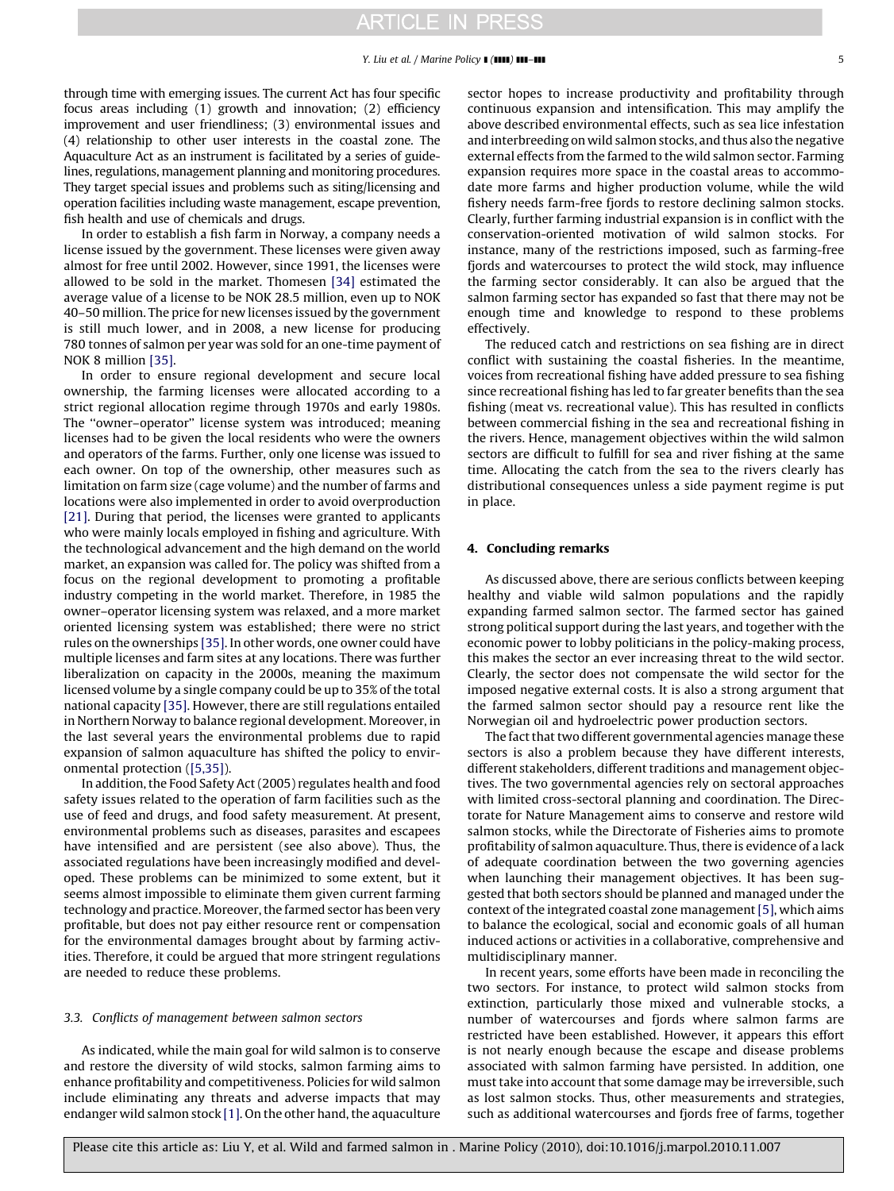through time with emerging issues. The current Act has four specific focus areas including (1) growth and innovation; (2) efficiency improvement and user friendliness; (3) environmental issues and (4) relationship to other user interests in the coastal zone. The Aquaculture Act as an instrument is facilitated by a series of guidelines, regulations, management planning and monitoring procedures. They target special issues and problems such as siting/licensing and operation facilities including waste management, escape prevention, fish health and use of chemicals and drugs.

In order to establish a fish farm in Norway, a company needs a license issued by the government. These licenses were given away almost for free until 2002. However, since 1991, the licenses were allowed to be sold in the market. Thomesen [\[34\]](#page-5-0) estimated the average value of a license to be NOK 28.5 million, even up to NOK 40–50 million. The price for new licenses issued by the government is still much lower, and in 2008, a new license for producing 780 tonnes of salmon per year was sold for an one-time payment of NOK 8 million [\[35\]](#page-5-0).

In order to ensure regional development and secure local ownership, the farming licenses were allocated according to a strict regional allocation regime through 1970s and early 1980s. The ''owner–operator'' license system was introduced; meaning licenses had to be given the local residents who were the owners and operators of the farms. Further, only one license was issued to each owner. On top of the ownership, other measures such as limitation on farm size (cage volume) and the number of farms and locations were also implemented in order to avoid overproduction [\[21\]](#page-5-0). During that period, the licenses were granted to applicants who were mainly locals employed in fishing and agriculture. With the technological advancement and the high demand on the world market, an expansion was called for. The policy was shifted from a focus on the regional development to promoting a profitable industry competing in the world market. Therefore, in 1985 the owner–operator licensing system was relaxed, and a more market oriented licensing system was established; there were no strict rules on the ownerships [\[35\].](#page-5-0) In other words, one owner could have multiple licenses and farm sites at any locations. There was further liberalization on capacity in the 2000s, meaning the maximum licensed volume by a single company could be up to 35% of the total national capacity [\[35\].](#page-5-0) However, there are still regulations entailed in Northern Norway to balance regional development. Moreover, in the last several years the environmental problems due to rapid expansion of salmon aquaculture has shifted the policy to environmental protection ([\[5,35\]](#page-5-0)).

In addition, the Food Safety Act (2005) regulates health and food safety issues related to the operation of farm facilities such as the use of feed and drugs, and food safety measurement. At present, environmental problems such as diseases, parasites and escapees have intensified and are persistent (see also above). Thus, the associated regulations have been increasingly modified and developed. These problems can be minimized to some extent, but it seems almost impossible to eliminate them given current farming technology and practice. Moreover, the farmed sector has been very profitable, but does not pay either resource rent or compensation for the environmental damages brought about by farming activities. Therefore, it could be argued that more stringent regulations are needed to reduce these problems.

#### 3.3. Conflicts of management between salmon sectors

As indicated, while the main goal for wild salmon is to conserve and restore the diversity of wild stocks, salmon farming aims to enhance profitability and competitiveness. Policies for wild salmon include eliminating any threats and adverse impacts that may endanger wild salmon stock [\[1\].](#page-5-0) On the other hand, the aquaculture sector hopes to increase productivity and profitability through continuous expansion and intensification. This may amplify the above described environmental effects, such as sea lice infestation and interbreeding on wild salmon stocks, and thus also the negative external effects from the farmed to the wild salmon sector. Farming expansion requires more space in the coastal areas to accommodate more farms and higher production volume, while the wild fishery needs farm-free fjords to restore declining salmon stocks. Clearly, further farming industrial expansion is in conflict with the conservation-oriented motivation of wild salmon stocks. For instance, many of the restrictions imposed, such as farming-free fiords and watercourses to protect the wild stock, may influence the farming sector considerably. It can also be argued that the salmon farming sector has expanded so fast that there may not be enough time and knowledge to respond to these problems effectively.

The reduced catch and restrictions on sea fishing are in direct conflict with sustaining the coastal fisheries. In the meantime, voices from recreational fishing have added pressure to sea fishing since recreational fishing has led to far greater benefits than the sea fishing (meat vs. recreational value). This has resulted in conflicts between commercial fishing in the sea and recreational fishing in the rivers. Hence, management objectives within the wild salmon sectors are difficult to fulfill for sea and river fishing at the same time. Allocating the catch from the sea to the rivers clearly has distributional consequences unless a side payment regime is put in place.

## 4. Concluding remarks

As discussed above, there are serious conflicts between keeping healthy and viable wild salmon populations and the rapidly expanding farmed salmon sector. The farmed sector has gained strong political support during the last years, and together with the economic power to lobby politicians in the policy-making process, this makes the sector an ever increasing threat to the wild sector. Clearly, the sector does not compensate the wild sector for the imposed negative external costs. It is also a strong argument that the farmed salmon sector should pay a resource rent like the Norwegian oil and hydroelectric power production sectors.

The fact that two different governmental agencies manage these sectors is also a problem because they have different interests, different stakeholders, different traditions and management objectives. The two governmental agencies rely on sectoral approaches with limited cross-sectoral planning and coordination. The Directorate for Nature Management aims to conserve and restore wild salmon stocks, while the Directorate of Fisheries aims to promote profitability of salmon aquaculture. Thus, there is evidence of a lack of adequate coordination between the two governing agencies when launching their management objectives. It has been suggested that both sectors should be planned and managed under the context of the integrated coastal zone management[\[5\],](#page-5-0) which aims to balance the ecological, social and economic goals of all human induced actions or activities in a collaborative, comprehensive and multidisciplinary manner.

In recent years, some efforts have been made in reconciling the two sectors. For instance, to protect wild salmon stocks from extinction, particularly those mixed and vulnerable stocks, a number of watercourses and fjords where salmon farms are restricted have been established. However, it appears this effort is not nearly enough because the escape and disease problems associated with salmon farming have persisted. In addition, one must take into account that some damage may be irreversible, such as lost salmon stocks. Thus, other measurements and strategies, such as additional watercourses and fjords free of farms, together